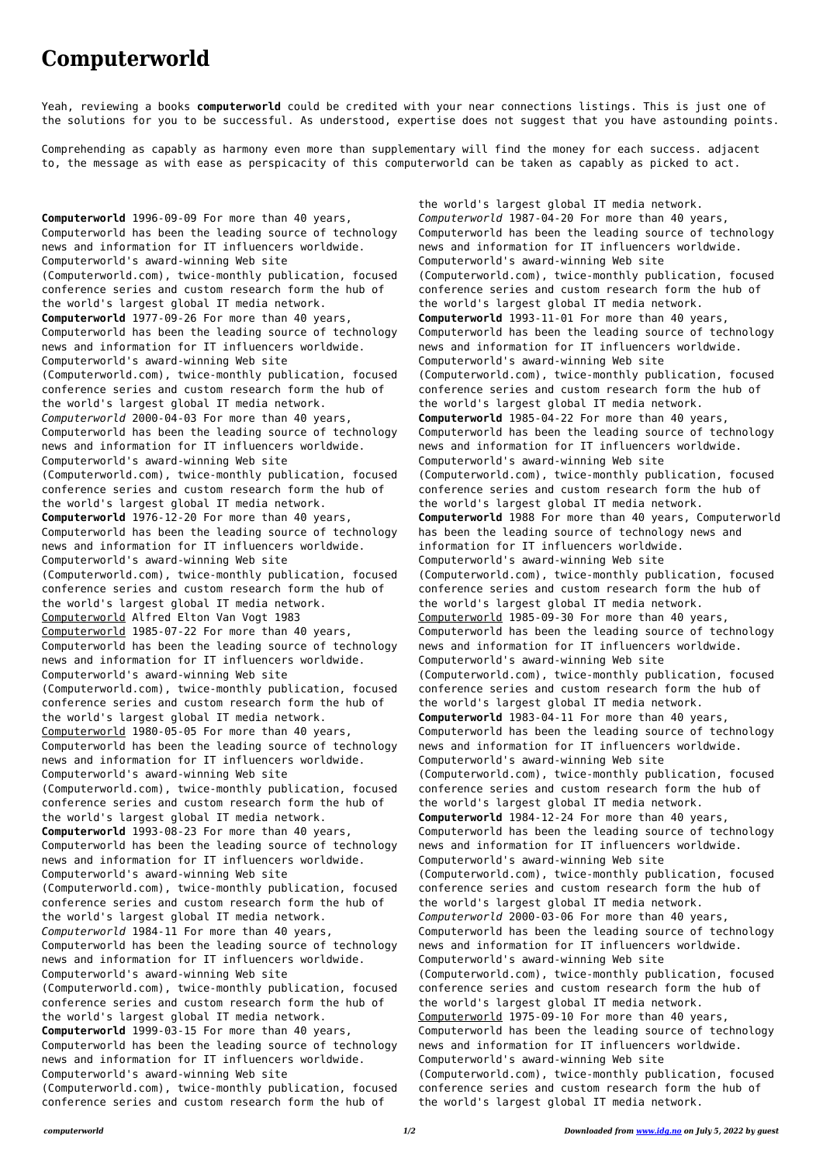## **Computerworld**

Yeah, reviewing a books **computerworld** could be credited with your near connections listings. This is just one of the solutions for you to be successful. As understood, expertise does not suggest that you have astounding points.

Comprehending as capably as harmony even more than supplementary will find the money for each success. adjacent to, the message as with ease as perspicacity of this computerworld can be taken as capably as picked to act.

**Computerworld** 1996-09-09 For more than 40 years, Computerworld has been the leading source of technology news and information for IT influencers worldwide. Computerworld's award-winning Web site (Computerworld.com), twice-monthly publication, focused conference series and custom research form the hub of the world's largest global IT media network. **Computerworld** 1977-09-26 For more than 40 years, Computerworld has been the leading source of technology news and information for IT influencers worldwide. Computerworld's award-winning Web site (Computerworld.com), twice-monthly publication, focused conference series and custom research form the hub of the world's largest global IT media network. *Computerworld* 2000-04-03 For more than 40 years, Computerworld has been the leading source of technology news and information for IT influencers worldwide. Computerworld's award-winning Web site (Computerworld.com), twice-monthly publication, focused conference series and custom research form the hub of the world's largest global IT media network. **Computerworld** 1976-12-20 For more than 40 years, Computerworld has been the leading source of technology news and information for IT influencers worldwide. Computerworld's award-winning Web site (Computerworld.com), twice-monthly publication, focused conference series and custom research form the hub of the world's largest global IT media network. Computerworld Alfred Elton Van Vogt 1983 Computerworld 1985-07-22 For more than 40 years, Computerworld has been the leading source of technology news and information for IT influencers worldwide. Computerworld's award-winning Web site (Computerworld.com), twice-monthly publication, focused conference series and custom research form the hub of the world's largest global IT media network. Computerworld 1980-05-05 For more than 40 years, Computerworld has been the leading source of technology news and information for IT influencers worldwide. Computerworld's award-winning Web site (Computerworld.com), twice-monthly publication, focused conference series and custom research form the hub of the world's largest global IT media network. **Computerworld** 1993-08-23 For more than 40 years, Computerworld has been the leading source of technology news and information for IT influencers worldwide. Computerworld's award-winning Web site (Computerworld.com), twice-monthly publication, focused conference series and custom research form the hub of the world's largest global IT media network. *Computerworld* 1984-11 For more than 40 years, Computerworld has been the leading source of technology news and information for IT influencers worldwide. Computerworld's award-winning Web site (Computerworld.com), twice-monthly publication, focused conference series and custom research form the hub of the world's largest global IT media network. **Computerworld** 1999-03-15 For more than 40 years, Computerworld has been the leading source of technology news and information for IT influencers worldwide. Computerworld's award-winning Web site (Computerworld.com), twice-monthly publication, focused conference series and custom research form the hub of

the world's largest global IT media network. *Computerworld* 1987-04-20 For more than 40 years, Computerworld has been the leading source of technology news and information for IT influencers worldwide. Computerworld's award-winning Web site (Computerworld.com), twice-monthly publication, focused conference series and custom research form the hub of the world's largest global IT media network. **Computerworld** 1993-11-01 For more than 40 years, Computerworld has been the leading source of technology news and information for IT influencers worldwide. Computerworld's award-winning Web site (Computerworld.com), twice-monthly publication, focused conference series and custom research form the hub of the world's largest global IT media network. **Computerworld** 1985-04-22 For more than 40 years, Computerworld has been the leading source of technology news and information for IT influencers worldwide. Computerworld's award-winning Web site (Computerworld.com), twice-monthly publication, focused conference series and custom research form the hub of the world's largest global IT media network. **Computerworld** 1988 For more than 40 years, Computerworld has been the leading source of technology news and information for IT influencers worldwide. Computerworld's award-winning Web site (Computerworld.com), twice-monthly publication, focused conference series and custom research form the hub of the world's largest global IT media network. Computerworld 1985-09-30 For more than 40 years, Computerworld has been the leading source of technology news and information for IT influencers worldwide. Computerworld's award-winning Web site (Computerworld.com), twice-monthly publication, focused conference series and custom research form the hub of the world's largest global IT media network. **Computerworld** 1983-04-11 For more than 40 years, Computerworld has been the leading source of technology news and information for IT influencers worldwide. Computerworld's award-winning Web site (Computerworld.com), twice-monthly publication, focused conference series and custom research form the hub of the world's largest global IT media network. **Computerworld** 1984-12-24 For more than 40 years, Computerworld has been the leading source of technology news and information for IT influencers worldwide. Computerworld's award-winning Web site (Computerworld.com), twice-monthly publication, focused conference series and custom research form the hub of the world's largest global IT media network. *Computerworld* 2000-03-06 For more than 40 years, Computerworld has been the leading source of technology news and information for IT influencers worldwide. Computerworld's award-winning Web site (Computerworld.com), twice-monthly publication, focused conference series and custom research form the hub of the world's largest global IT media network. Computerworld 1975-09-10 For more than 40 years, Computerworld has been the leading source of technology news and information for IT influencers worldwide. Computerworld's award-winning Web site (Computerworld.com), twice-monthly publication, focused conference series and custom research form the hub of the world's largest global IT media network.